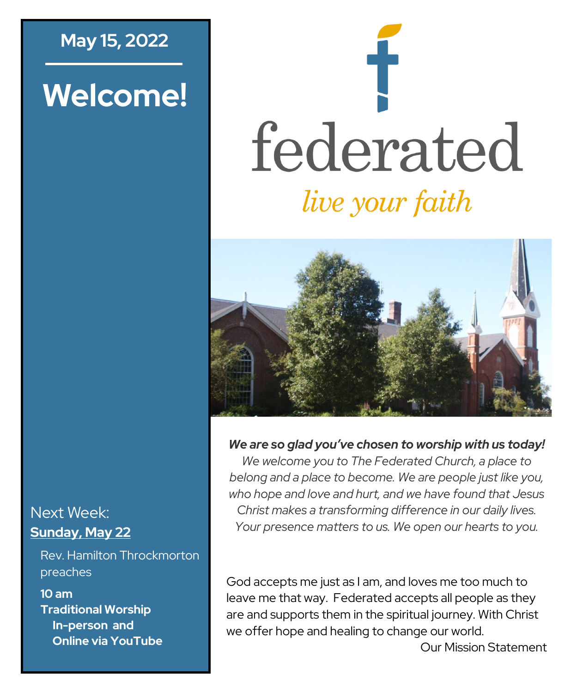## **May 15, 2022**

# **Welcome!**

# federated *live your faith*



*We are so glad you've chosen to worship with us today!*

*We welcome you to The Federated Church, a place to belong and a place to become. We are people just like you, who hope and love and hurt, and we have found that Jesus Christ makes a transforming difference in our daily lives. Your presence matters to us. We open our hearts to you.*

God accepts me just as I am, and loves me too much to leave me that way. Federated accepts all people as they are and supports them in the spiritual journey. With Christ we offer hope and healing to change our world.

Next Week: **Sunday, May 22**

Rev. Hamilton Throckmorton preaches

**10 am Traditional Worship In-person and Online via YouTube**

Our Mission Statement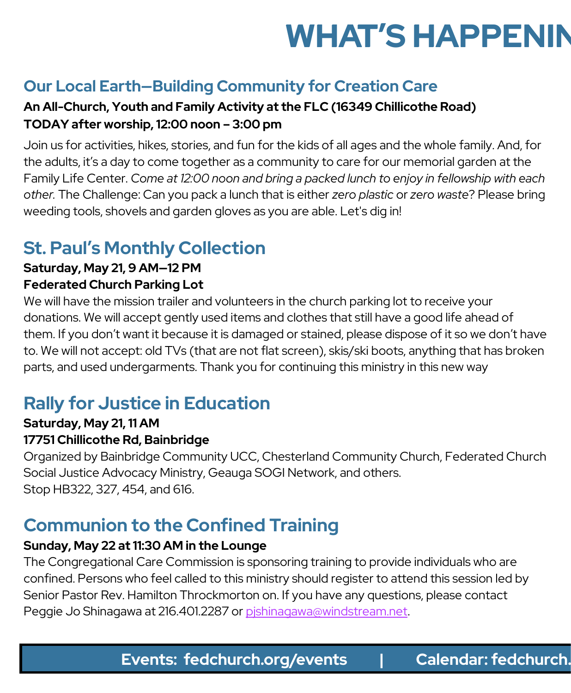# **WHAT'S HAPPENIN**

# **Our Local Earth—Building Community for Creation Care**

#### **An All-Church, Youth and Family Activity at the FLC (16349 Chillicothe Road) TODAY after worship, 12:00 noon – 3:00 pm**

Join us for activities, hikes, stories, and fun for the kids of all ages and the whole family. And, for the adults, it's a day to come together as a community to care for our memorial garden at the Family Life Center. *Come at 12:00 noon and bring a packed lunch to enjoy in fellowship with each other.* The Challenge: Can you pack a lunch that is either *zero plastic* or *zero waste*? Please bring weeding tools, shovels and garden gloves as you are able. Let's dig in!

# **St. Paul's Monthly Collection**

#### **Saturday, May 21, 9 AM—12 PM Federated Church Parking Lot**

We will have the mission trailer and volunteers in the church parking lot to receive your donations. We will accept gently used items and clothes that still have a good life ahead of them. If you don't want it because it is damaged or stained, please dispose of it so we don't have to. We will not accept: old TVs (that are not flat screen), skis/ski boots, anything that has broken parts, and used undergarments. Thank you for continuing this ministry in this new way

# **Rally for Justice in Education**

# **Saturday, May 21, 11 AM**

#### **17751 Chillicothe Rd, Bainbridge**

Organized by Bainbridge Community UCC, Chesterland Community Church, Federated Church Social Justice Advocacy Ministry, Geauga SOGI Network, and others. Stop HB322, 327, 454, and 616.

# **Communion to the Confined Training**

#### **Sunday, May 22 at 11:30 AM in the Lounge**

The Congregational Care Commission is sponsoring training to provide individuals who are confined. Persons who feel called to this ministry should register to attend this session led by Senior Pastor Rev. Hamilton Throckmorton on. If you have any questions, please contact Peggie Jo Shinagawa at 216.401.2287 or [pjshinagawa@windstream.net.](mailto:pjshinagawa@windstream.net)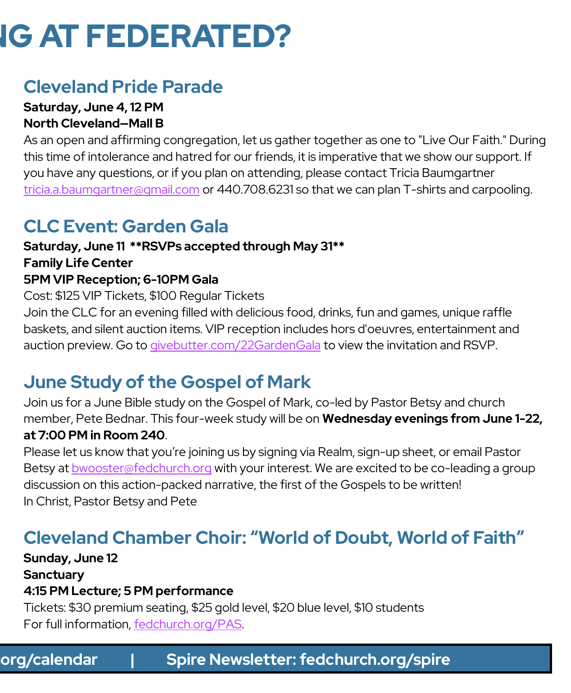# **IG AT FEDERATED?**

# **Cleveland Pride Parade**

#### **Saturday, June 4, 12 PM North Cleveland—Mall B**

As an open and affirming congregation, let us gather together as one to "Live Our Faith." During this time of intolerance and hatred for our friends, it is imperative that we show our support. If you have any questions, or if you plan on attending, please contact Tricia Baumgartner [tricia.a.baumgartner@gmail.com](mailto:tricia.a.baumgartner@gmail.com) or 440.708.6231 so that we can plan T-shirts and carpooling.

# **CLC Event: Garden Gala**

### **Saturday, June 11 \*\*RSVPs accepted through May 31\*\* Family Life Center 5PM VIP Reception; 6-10PM Gala**

Cost: \$125 VIP Tickets, \$100 Regular Tickets Join the CLC for an evening filled with delicious food, drinks, fun and games, unique raffle baskets, and silent auction items. VIP reception includes hors d'oeuvres, entertainment and auction preview. Go to <givebutter.com/22GardenGala> to view the invitation and RSVP.

# **June Study of the Gospel of Mark**

Join us for a June Bible study on the Gospel of Mark, co-led by Pastor Betsy and church member, Pete Bednar. This four-week study will be on **Wednesday evenings from June 1-22, at 7:00 PM in Room 240**.

Please let us know that you're joining us by signing via Realm, sign-up sheet, or email Pastor Betsy at [bwooster@fedchurch.org](mailto:bwooster@fedchurch.org) with your interest. We are excited to be co-leading a group discussion on this action-packed narrative, the first of the Gospels to be written! In Christ, Pastor Betsy and Pete

# **Cleveland Chamber Choir: "World of Doubt, World of Faith"**

**Sunday, June 12 Sanctuary 4:15 PM Lecture; 5 PM performance**

Tickets: \$30 premium seating, \$25 gold level, \$20 blue level, \$10 students For full information, [fedchurch.org/PAS.](http://www.fedchurch.org/PAS)